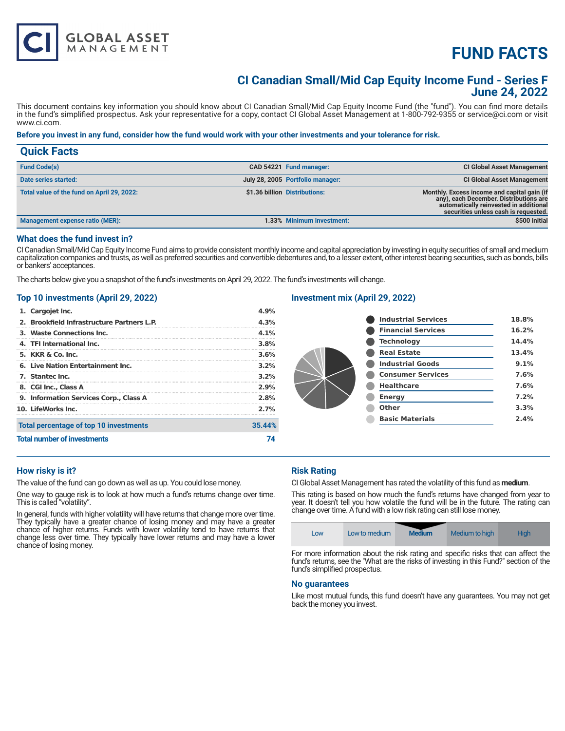# **FUND FACTS**

# **CI Canadian Small/Mid Cap Equity Income Fund - Series F June 24, 2022**

This document contains key information you should know about CI Canadian Small/Mid Cap Equity Income Fund (the "fund"). You can find more details in the fund's simplified prospectus. Ask your representative for a copy, contact CI Global Asset Management at 1-800-792-9355 or service@ci.com or visit www.ci.com.

#### **Before you invest in any fund, consider how the fund would work with your other investments and your tolerance for risk.**

| <b>Quick Facts</b>                         |                                                                                                                                                                                                          |
|--------------------------------------------|----------------------------------------------------------------------------------------------------------------------------------------------------------------------------------------------------------|
| <b>Fund Code(s)</b>                        | <b>CI Global Asset Management</b><br>CAD 54221 Fund manager:                                                                                                                                             |
| Date series started:                       | July 28, 2005 Portfolio manager:<br><b>CI Global Asset Management</b>                                                                                                                                    |
| Total value of the fund on April 29, 2022: | \$1.36 billion Distributions:<br>Monthly. Excess income and capital gain (if<br>any), each December. Distributions are<br>automatically reinvested in additional<br>securities unless cash is requested. |
| <b>Management expense ratio (MER):</b>     | \$500 initial<br>1.33% Minimum investment:                                                                                                                                                               |

#### **What does the fund invest in?**

CI Canadian Small/Mid Cap Equity Income Fund aims to provide consistent monthly income and capital appreciation by investing in equity securities of small and medium capitalization companies and trusts, as well as preferred securities and convertible debentures and, to a lesser extent, other interest bearing securities, such as bonds, bills or bankers' acceptances.

The charts below give you a snapshot of the fund's investments on April 29, 2022. The fund's investments will change.

# **Top 10 investments (April 29, 2022)**

**GLOBAL ASSET**<br>MANAGEMENT

| 1. Cargojet Inc.                           | 1.9%    |
|--------------------------------------------|---------|
| 2. Brookfield Infrastructure Partners L.P. | 4.3%    |
| 3. Waste Connections Inc.                  | $4.1\%$ |
| 4. TFI International Inc.                  | 3.8%    |
| 5. KKR & Co. Inc.                          | 3.6%    |
| 6. Live Nation Entertainment Inc.          | $3.2\%$ |
| 7. Stantec Inc.                            | $3.2\%$ |
| 8. CGI Inc., Class A                       | 2.9%    |
| 9. Information Services Corp., Class A     | 2.8%    |
| 10. LifeWorks Inc.                         | 2.7%    |
| Total percentage of top 10 investments     | 35.44%  |
| <b>Total number of investments</b>         |         |

## **Investment mix (April 29, 2022)**

| <b>Industrial Services</b> | 18.8% |
|----------------------------|-------|
| <b>Financial Services</b>  | 16.2% |
| <b>Technology</b>          | 14.4% |
| <b>Real Estate</b>         | 13.4% |
| <b>Industrial Goods</b>    | 9.1%  |
| <b>Consumer Services</b>   | 7.6%  |
| <b>Healthcare</b>          | 7.6%  |
| <b>Energy</b>              | 7.2%  |
| Other                      | 3.3%  |
| <b>Basic Materials</b>     | 2.4%  |

## **How risky is it?**

The value of the fund can go down as well as up. You could lose money.

One way to gauge risk is to look at how much a fund's returns change over time. This is called "volatility".

In general, funds with higher volatility will have returns that change more over time. They typically have a greater chance of losing money and may have a greater chance of higher returns. Funds with lower volatility tend to have returns that change less over time. They typically have lower returns and may have a lower chance of losing money.

# **Risk Rating**

CI Global Asset Management has rated the volatility of this fund as **medium**.

This rating is based on how much the fund's returns have changed from year to year. It doesn't tell you how volatile the fund will be in the future. The rating can change over time. A fund with a low risk rating can still lose money.



For more information about the risk rating and specific risks that can affect the fund's returns, see the "What are the risks of investing in this Fund?" section of the fund's simplified prospectus.

#### **No guarantees**

Like most mutual funds, this fund doesn't have any guarantees. You may not get back the money you invest.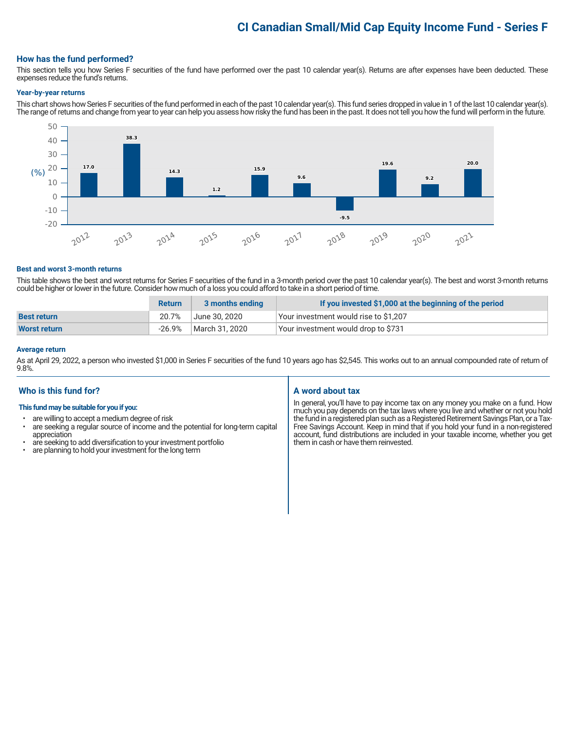# **CI Canadian Small/Mid Cap Equity Income Fund - Series F**

## **How has the fund performed?**

This section tells you how Series F securities of the fund have performed over the past 10 calendar year(s). Returns are after expenses have been deducted. These expenses reduce the fund's returns.

#### **Year-by-year returns**

This chart shows how Series F securities of the fund performed in each of the past 10 calendar year(s). This fund series dropped in value in 1 of the last 10 calendar year(s). The range of returns and change from year to year can help you assess how risky the fund has been in the past. It does not tell you how the fund will perform in the future.



#### **Best and worst 3-month returns**

This table shows the best and worst returns for Series F securities of the fund in a 3-month period over the past 10 calendar year(s). The best and worst 3-month returns could be higher or lower in the future. Consider how much of a loss you could afford to take in a short period of time.

|                     | <b>Return</b> | 3 months ending | If you invested \$1,000 at the beginning of the period |
|---------------------|---------------|-----------------|--------------------------------------------------------|
| <b>Best return</b>  | 20.7%         | June 30. 2020   | Your investment would rise to \$1,207                  |
| <b>Worst return</b> | -26.9%        | March 31, 2020  | Your investment would drop to \$731                    |

#### **Average return**

As at April 29, 2022, a person who invested \$1,000 in Series F securities of the fund 10 years ago has \$2,545. This works out to an annual compounded rate of return of 9.8%.

## **Who is this fund for?**

#### **This fund may be suitable for you if you:**

- are willing to accept a medium degree of risk
- are seeking a regular source of income and the potential for long-term capital appreciation
- are seeking to add diversification to your investment portfolio<br>• are planning to hold your investment for the long term
- are planning to hold your investment for the long term

# **A word about tax**

In general, you'll have to pay income tax on any money you make on a fund. How much you pay depends on the tax laws where you live and whether or not you hold the fund in a registered plan such as a Registered Retirement Savings Plan, or a Tax-Free Savings Account. Keep in mind that if you hold your fund in a non-registered account, fund distributions are included in your taxable income, whether you get them in cash or have them reinvested.